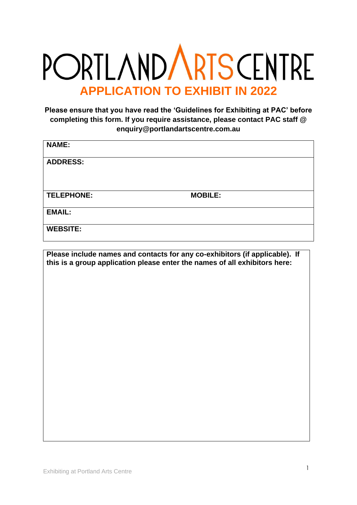## **PORTLANDARTSCENTRE APPLICATION TO EXHIBIT IN 2022**

**Please ensure that you have read the 'Guidelines for Exhibiting at PAC' before completing this form. If you require assistance, please contact PAC staff @ enquiry@portlandartscentre.com.au**

| <b>NAME:</b>      |                |
|-------------------|----------------|
| <b>ADDRESS:</b>   |                |
|                   |                |
|                   |                |
| <b>TELEPHONE:</b> | <b>MOBILE:</b> |
| <b>EMAIL:</b>     |                |

**Please include names and contacts for any co-exhibitors (if applicable). If this is a group application please enter the names of all exhibitors here:**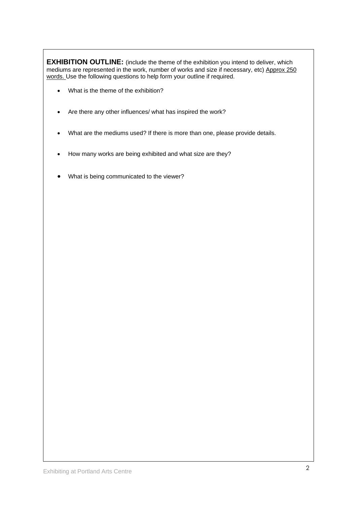**EXHIBITION OUTLINE:** (include the theme of the exhibition you intend to deliver, which mediums are represented in the work, number of works and size if necessary, etc) Approx 250 words. Use the following questions to help form your outline if required.

- What is the theme of the exhibition?
- Are there any other influences/ what has inspired the work?
- What are the mediums used? If there is more than one, please provide details.
- How many works are being exhibited and what size are they?
- What is being communicated to the viewer?